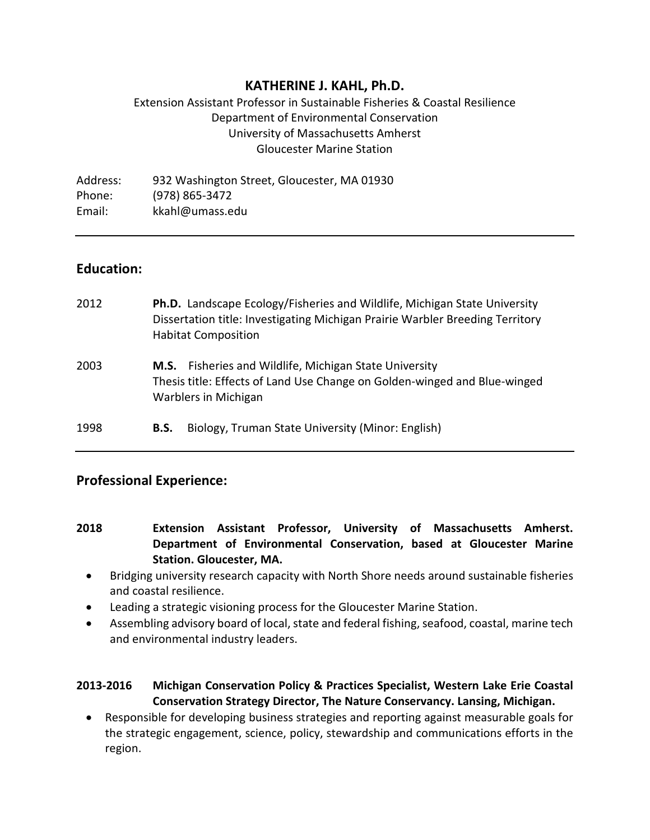# **KATHERINE J. KAHL, Ph.D.**

# Extension Assistant Professor in Sustainable Fisheries & Coastal Resilience Department of Environmental Conservation University of Massachusetts Amherst Gloucester Marine Station

Address: 932 Washington Street, Gloucester, MA 01930 Phone: (978) 865-3472 Email: kkahl@umass.edu

# **Education:**

| 2012 | <b>Ph.D.</b> Landscape Ecology/Fisheries and Wildlife, Michigan State University<br>Dissertation title: Investigating Michigan Prairie Warbler Breeding Territory<br><b>Habitat Composition</b> |
|------|-------------------------------------------------------------------------------------------------------------------------------------------------------------------------------------------------|
| 2003 | M.S. Fisheries and Wildlife, Michigan State University<br>Thesis title: Effects of Land Use Change on Golden-winged and Blue-winged<br><b>Warblers in Michigan</b>                              |
| 1998 | Biology, Truman State University (Minor: English)<br>B.S.                                                                                                                                       |

# **Professional Experience:**

- **2018 Extension Assistant Professor, University of Massachusetts Amherst. Department of Environmental Conservation, based at Gloucester Marine Station. Gloucester, MA.** 
	- Bridging university research capacity with North Shore needs around sustainable fisheries and coastal resilience.
	- Leading a strategic visioning process for the Gloucester Marine Station.
	- Assembling advisory board of local, state and federal fishing, seafood, coastal, marine tech and environmental industry leaders.

## **2013-2016 Michigan Conservation Policy & Practices Specialist, Western Lake Erie Coastal Conservation Strategy Director, The Nature Conservancy. Lansing, Michigan.**

• Responsible for developing business strategies and reporting against measurable goals for the strategic engagement, science, policy, stewardship and communications efforts in the region.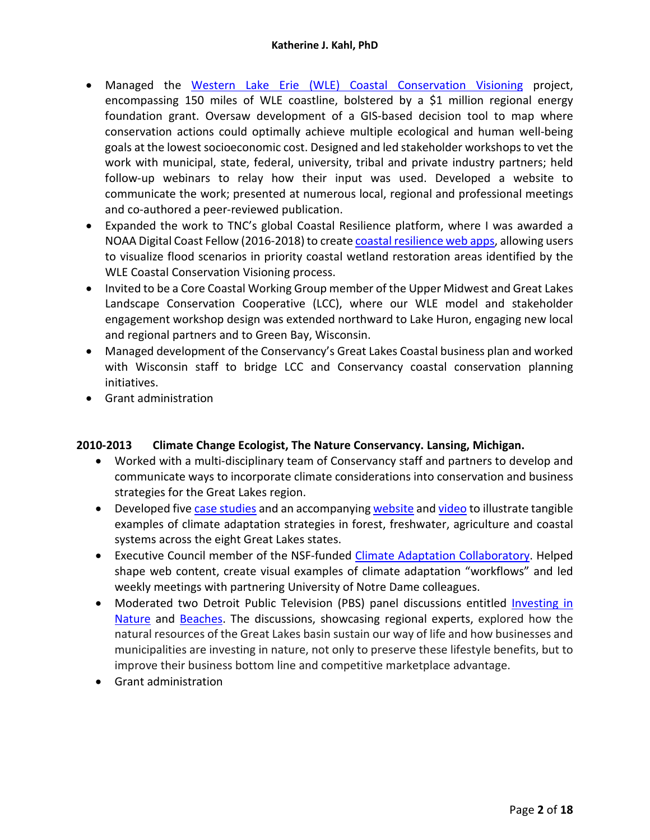- Managed the Western Lake Erie (WLE) [Coastal Conservation Visioning](http://www.nature.org/wlecoastal) project, encompassing 150 miles of WLE coastline, bolstered by a \$1 million regional energy foundation grant. Oversaw development of a GIS-based decision tool to map where conservation actions could optimally achieve multiple ecological and human well-being goals at the lowest socioeconomic cost. Designed and led stakeholder workshops to vet the work with municipal, state, federal, university, tribal and private industry partners; held follow-up webinars to relay how their input was used. Developed a website to communicate the work; presented at numerous local, regional and professional meetings and co-authored a peer-reviewed publication.
- Expanded the work to TNC's global Coastal Resilience platform, where I was awarded a NOAA Digital Coast Fellow (2016-2018) to create [coastal resilience web apps,](http://coastalresilience.org/project/western-lake-erie/) allowing users to visualize flood scenarios in priority coastal wetland restoration areas identified by the WLE Coastal Conservation Visioning process.
- Invited to be a Core Coastal Working Group member of the Upper Midwest and Great Lakes Landscape Conservation Cooperative (LCC), where our WLE model and stakeholder engagement workshop design was extended northward to Lake Huron, engaging new local and regional partners and to Green Bay, Wisconsin.
- Managed development of the Conservancy's Great Lakes Coastal business plan and worked with Wisconsin staff to bridge LCC and Conservancy coastal conservation planning initiatives.
- Grant administration

#### **2010-2013 Climate Change Ecologist, The Nature Conservancy. Lansing, Michigan.**

- Worked with a multi-disciplinary team of Conservancy staff and partners to develop and communicate ways to incorporate climate considerations into conservation and business strategies for the Great Lakes region.
- Developed five [case studies](https://www.nature.org/ourinitiatives/regions/northamerica/areas/greatlakes/explore/climate-adaptation-case-studies.xml) and an accompanyin[g website](https://www.nature.org/ourinitiatives/regions/northamerica/areas/greatlakes/explore/adapting-to-climate-change-in-the-great-lakes.xml) and [video](https://youtu.be/lvqUzgWXCkY) to illustrate tangible examples of climate adaptation strategies in forest, freshwater, agriculture and coastal systems across the eight Great Lakes states.
- Executive Council member of the NSF-funded [Climate Adaptation Collaboratory.](https://adapt.nd.edu/) Helped shape web content, create visual examples of climate adaptation "workflows" and led weekly meetings with partnering University of Notre Dame colleagues.
- Moderated two Detroit Public Television (PBS) panel discussions entitled Investing in [Nature](http://www.greatlakesnow.org/2013/07/great-lakes-now-connect-investing-in-nature/) and [Beaches.](http://www.greatlakesnow.org/connect/#beaches) The discussions, showcasing regional experts, explored how the natural resources of the Great Lakes basin sustain our way of life and how businesses and municipalities are investing in nature, not only to preserve these lifestyle benefits, but to improve their business bottom line and competitive marketplace advantage.
- Grant administration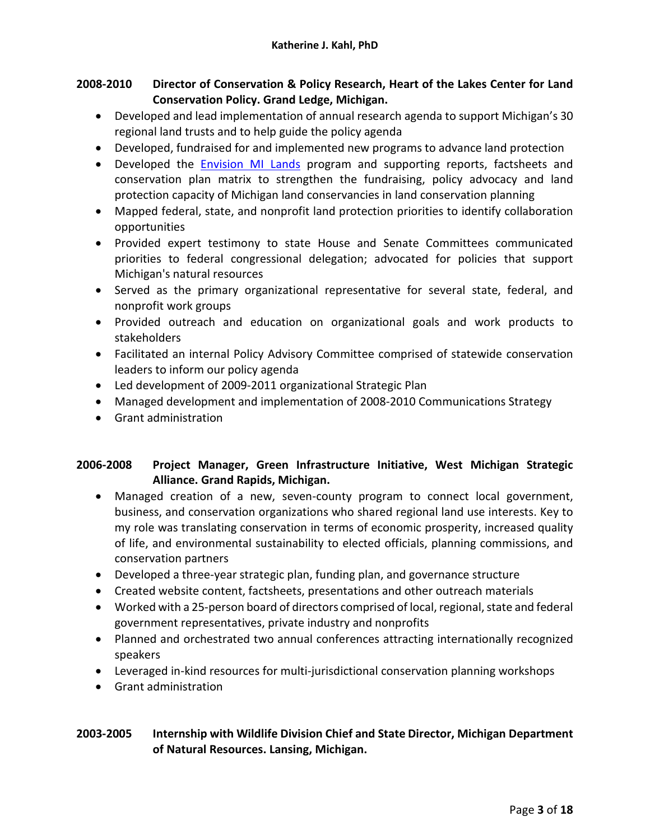## **2008-2010 Director of Conservation & Policy Research, Heart of the Lakes Center for Land Conservation Policy. Grand Ledge, Michigan.**

- Developed and lead implementation of annual research agenda to support Michigan's 30 regional land trusts and to help guide the policy agenda
- Developed, fundraised for and implemented new programs to advance land protection
- Developed the [Envision MI Lands](http://www.heartofthelakes.org/envision-mi-lands.html) program and supporting reports, factsheets and conservation plan matrix to strengthen the fundraising, policy advocacy and land protection capacity of Michigan land conservancies in land conservation planning
- Mapped federal, state, and nonprofit land protection priorities to identify collaboration opportunities
- Provided expert testimony to state House and Senate Committees communicated priorities to federal congressional delegation; advocated for policies that support Michigan's natural resources
- Served as the primary organizational representative for several state, federal, and nonprofit work groups
- Provided outreach and education on organizational goals and work products to stakeholders
- Facilitated an internal Policy Advisory Committee comprised of statewide conservation leaders to inform our policy agenda
- Led development of 2009-2011 organizational Strategic Plan
- Managed development and implementation of 2008-2010 Communications Strategy
- Grant administration

# **2006-2008 Project Manager, Green Infrastructure Initiative, West Michigan Strategic Alliance. Grand Rapids, Michigan.**

- Managed creation of a new, seven-county program to connect local government, business, and conservation organizations who shared regional land use interests. Key to my role was translating conservation in terms of economic prosperity, increased quality of life, and environmental sustainability to elected officials, planning commissions, and conservation partners
- Developed a three-year strategic plan, funding plan, and governance structure
- Created website content, factsheets, presentations and other outreach materials
- Worked with a 25-person board of directors comprised of local, regional, state and federal government representatives, private industry and nonprofits
- Planned and orchestrated two annual conferences attracting internationally recognized speakers
- Leveraged in-kind resources for multi-jurisdictional conservation planning workshops
- Grant administration

## **2003-2005 Internship with Wildlife Division Chief and State Director, Michigan Department of Natural Resources. Lansing, Michigan.**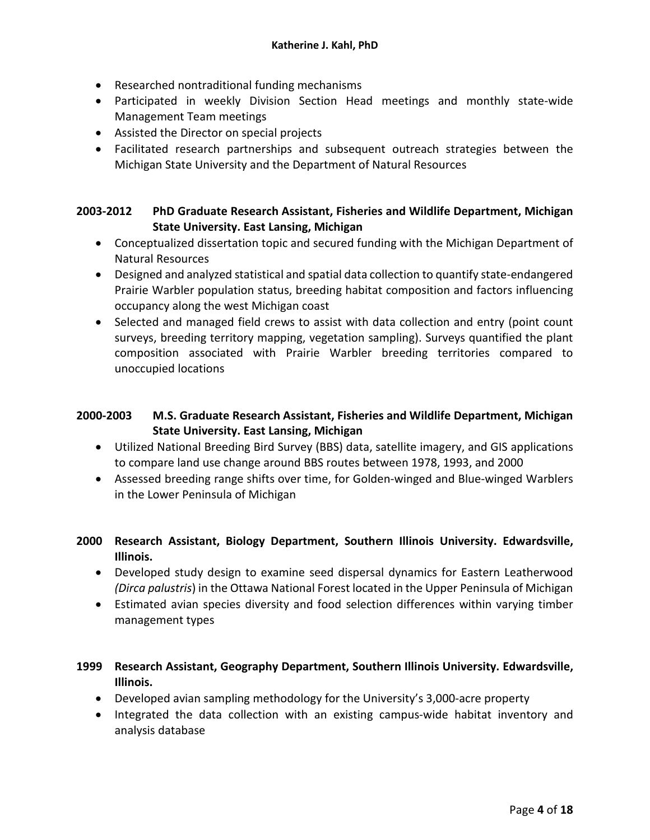- Researched nontraditional funding mechanisms
- Participated in weekly Division Section Head meetings and monthly state-wide Management Team meetings
- Assisted the Director on special projects
- Facilitated research partnerships and subsequent outreach strategies between the Michigan State University and the Department of Natural Resources

#### **2003-2012 PhD Graduate Research Assistant, Fisheries and Wildlife Department, Michigan State University. East Lansing, Michigan**

- Conceptualized dissertation topic and secured funding with the Michigan Department of Natural Resources
- Designed and analyzed statistical and spatial data collection to quantify state-endangered Prairie Warbler population status, breeding habitat composition and factors influencing occupancy along the west Michigan coast
- Selected and managed field crews to assist with data collection and entry (point count surveys, breeding territory mapping, vegetation sampling). Surveys quantified the plant composition associated with Prairie Warbler breeding territories compared to unoccupied locations

## **2000-2003 M.S. Graduate Research Assistant, Fisheries and Wildlife Department, Michigan State University. East Lansing, Michigan**

- Utilized National Breeding Bird Survey (BBS) data, satellite imagery, and GIS applications to compare land use change around BBS routes between 1978, 1993, and 2000
- Assessed breeding range shifts over time, for Golden-winged and Blue-winged Warblers in the Lower Peninsula of Michigan
- **2000 Research Assistant, Biology Department, Southern Illinois University. Edwardsville, Illinois.** 
	- Developed study design to examine seed dispersal dynamics for Eastern Leatherwood *(Dirca palustris*) in the Ottawa National Forest located in the Upper Peninsula of Michigan
	- Estimated avian species diversity and food selection differences within varying timber management types

## **1999 Research Assistant, Geography Department, Southern Illinois University. Edwardsville, Illinois.**

- Developed avian sampling methodology for the University's 3,000-acre property
- Integrated the data collection with an existing campus-wide habitat inventory and analysis database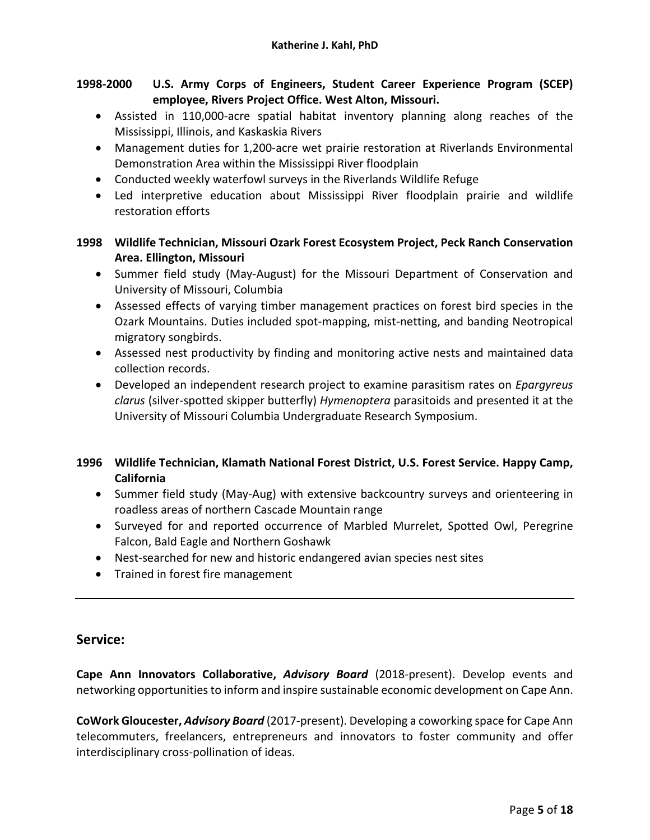# **1998-2000 U.S. Army Corps of Engineers, Student Career Experience Program (SCEP) employee, Rivers Project Office. West Alton, Missouri.**

- Assisted in 110,000-acre spatial habitat inventory planning along reaches of the Mississippi, Illinois, and Kaskaskia Rivers
- Management duties for 1,200-acre wet prairie restoration at Riverlands Environmental Demonstration Area within the Mississippi River floodplain
- Conducted weekly waterfowl surveys in the Riverlands Wildlife Refuge
- Led interpretive education about Mississippi River floodplain prairie and wildlife restoration efforts

## **1998 Wildlife Technician, Missouri Ozark Forest Ecosystem Project, Peck Ranch Conservation Area. Ellington, Missouri**

- Summer field study (May-August) for the Missouri Department of Conservation and University of Missouri, Columbia
- Assessed effects of varying timber management practices on forest bird species in the Ozark Mountains. Duties included spot-mapping, mist-netting, and banding Neotropical migratory songbirds.
- Assessed nest productivity by finding and monitoring active nests and maintained data collection records.
- Developed an independent research project to examine parasitism rates on *Epargyreus clarus* (silver-spotted skipper butterfly) *Hymenoptera* parasitoids and presented it at the University of Missouri Columbia Undergraduate Research Symposium.

## **1996 Wildlife Technician, Klamath National Forest District, U.S. Forest Service. Happy Camp, California**

- Summer field study (May-Aug) with extensive backcountry surveys and orienteering in roadless areas of northern Cascade Mountain range
- Surveyed for and reported occurrence of Marbled Murrelet, Spotted Owl, Peregrine Falcon, Bald Eagle and Northern Goshawk
- Nest-searched for new and historic endangered avian species nest sites
- Trained in forest fire management

# **Service:**

**Cape Ann Innovators Collaborative,** *Advisory Board* (2018-present). Develop events and networking opportunities to inform and inspire sustainable economic development on Cape Ann.

**CoWork Gloucester,** *Advisory Board* (2017-present). Developing a coworking space for Cape Ann telecommuters, freelancers, entrepreneurs and innovators to foster community and offer interdisciplinary cross-pollination of ideas.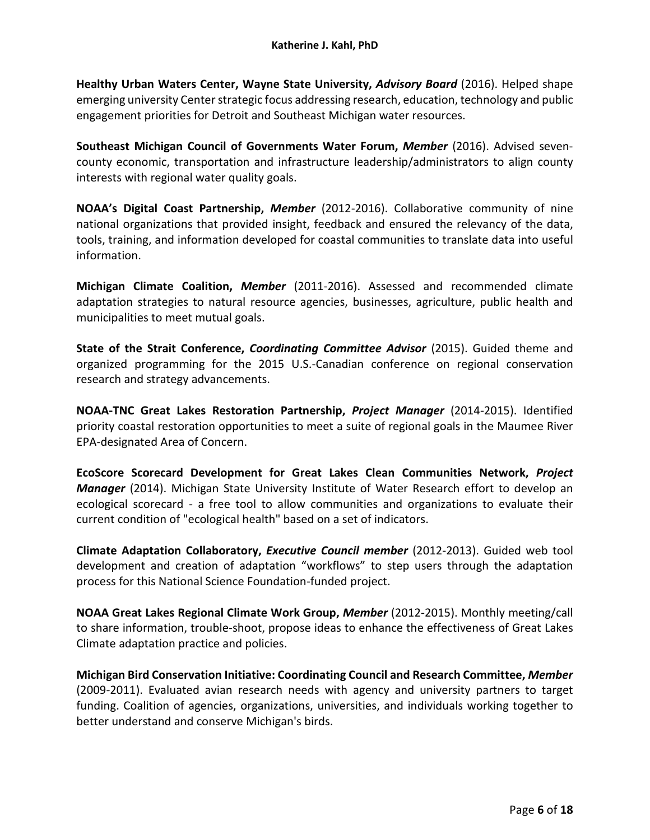**Healthy Urban Waters Center, Wayne State University,** *Advisory Board* (2016). Helped shape emerging university Center strategic focus addressing research, education, technology and public engagement priorities for Detroit and Southeast Michigan water resources.

**Southeast Michigan Council of Governments Water Forum,** *Member* (2016). Advised sevencounty economic, transportation and infrastructure leadership/administrators to align county interests with regional water quality goals.

**NOAA's Digital Coast Partnership,** *Member* (2012-2016). Collaborative community of nine national organizations that provided insight, feedback and ensured the relevancy of the data, tools, training, and information developed for coastal communities to translate data into useful information.

**Michigan Climate Coalition,** *Member* (2011-2016). Assessed and recommended climate adaptation strategies to natural resource agencies, businesses, agriculture, public health and municipalities to meet mutual goals.

**State of the Strait Conference,** *Coordinating Committee Advisor* (2015). Guided theme and organized programming for the 2015 U.S.-Canadian conference on regional conservation research and strategy advancements.

**NOAA-TNC Great Lakes Restoration Partnership,** *Project Manager* (2014-2015). Identified priority coastal restoration opportunities to meet a suite of regional goals in the Maumee River EPA-designated Area of Concern.

**EcoScore Scorecard Development for Great Lakes Clean Communities Network,** *Project Manager* (2014). Michigan State University Institute of Water Research effort to develop an ecological scorecard - a free tool to allow communities and organizations to evaluate their current condition of "ecological health" based on a set of indicators.

**Climate Adaptation Collaboratory,** *Executive Council member* (2012-2013). Guided web tool development and creation of adaptation "workflows" to step users through the adaptation process for this National Science Foundation-funded project.

**NOAA Great Lakes Regional Climate Work Group,** *Member* (2012-2015). Monthly meeting/call to share information, trouble-shoot, propose ideas to enhance the effectiveness of Great Lakes Climate adaptation practice and policies.

**Michigan Bird Conservation Initiative: Coordinating Council and Research Committee,** *Member* (2009-2011). Evaluated avian research needs with agency and university partners to target funding. Coalition of agencies, organizations, universities, and individuals working together to better understand and conserve Michigan's birds.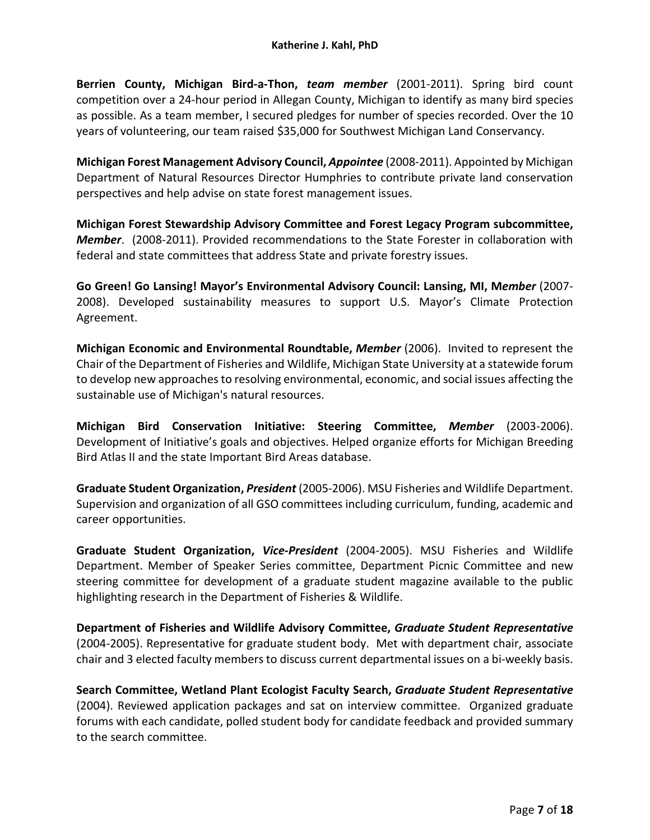**Berrien County, Michigan Bird-a-Thon,** *team member* (2001-2011). Spring bird count competition over a 24-hour period in Allegan County, Michigan to identify as many bird species as possible. As a team member, I secured pledges for number of species recorded. Over the 10 years of volunteering, our team raised \$35,000 for Southwest Michigan Land Conservancy.

**Michigan Forest Management Advisory Council,** *Appointee* (2008-2011). Appointed by Michigan Department of Natural Resources Director Humphries to contribute private land conservation perspectives and help advise on state forest management issues.

**Michigan Forest Stewardship Advisory Committee and Forest Legacy Program subcommittee,**  *Member*. (2008-2011). Provided recommendations to the State Forester in collaboration with federal and state committees that address State and private forestry issues.

**Go Green! Go Lansing! Mayor's Environmental Advisory Council: Lansing, MI, M***ember* (2007- 2008). Developed sustainability measures to support U.S. Mayor's Climate Protection Agreement.

**Michigan Economic and Environmental Roundtable,** *Member* (2006). Invited to represent the Chair of the Department of Fisheries and Wildlife, Michigan State University at a statewide forum to develop new approaches to resolving environmental, economic, and social issues affecting the sustainable use of Michigan's natural resources.

**Michigan Bird Conservation Initiative: Steering Committee,** *Member* (2003-2006). Development of Initiative's goals and objectives. Helped organize efforts for Michigan Breeding Bird Atlas II and the state Important Bird Areas database.

**Graduate Student Organization,** *President* (2005-2006). MSU Fisheries and Wildlife Department. Supervision and organization of all GSO committees including curriculum, funding, academic and career opportunities.

**Graduate Student Organization,** *Vice-President* (2004-2005). MSU Fisheries and Wildlife Department. Member of Speaker Series committee, Department Picnic Committee and new steering committee for development of a graduate student magazine available to the public highlighting research in the Department of Fisheries & Wildlife.

**Department of Fisheries and Wildlife Advisory Committee,** *Graduate Student Representative* (2004-2005). Representative for graduate student body. Met with department chair, associate chair and 3 elected faculty members to discuss current departmental issues on a bi-weekly basis.

**Search Committee, Wetland Plant Ecologist Faculty Search,** *Graduate Student Representative* (2004). Reviewed application packages and sat on interview committee. Organized graduate forums with each candidate, polled student body for candidate feedback and provided summary to the search committee.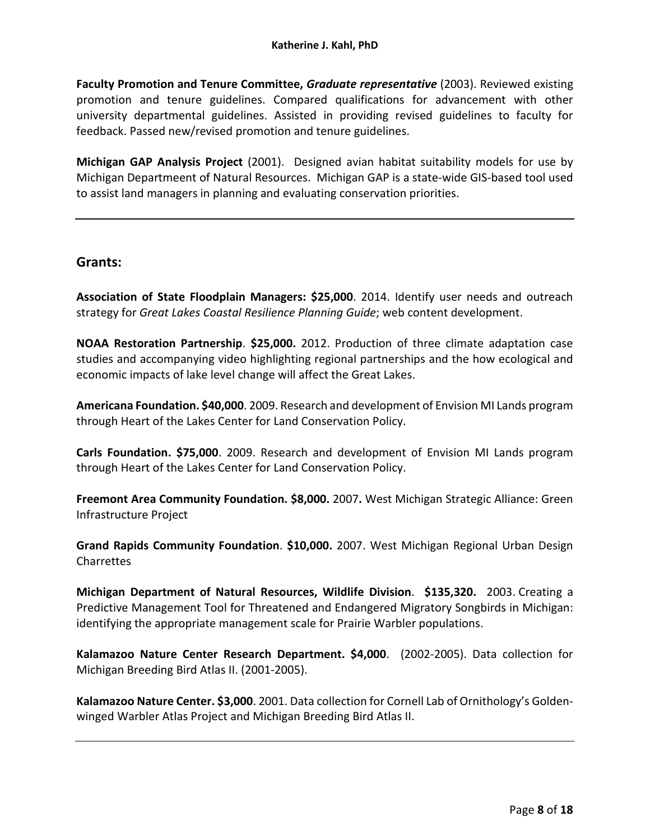**Faculty Promotion and Tenure Committee,** *Graduate representative* (2003). Reviewed existing promotion and tenure guidelines. Compared qualifications for advancement with other university departmental guidelines. Assisted in providing revised guidelines to faculty for feedback. Passed new/revised promotion and tenure guidelines.

**Michigan GAP Analysis Project** (2001). Designed avian habitat suitability models for use by Michigan Departmeent of Natural Resources. Michigan GAP is a state-wide GIS-based tool used to assist land managers in planning and evaluating conservation priorities.

## **Grants:**

**Association of State Floodplain Managers: \$25,000**. 2014. Identify user needs and outreach strategy for *Great Lakes Coastal Resilience Planning Guide*; web content development.

**NOAA Restoration Partnership**. **\$25,000.** 2012. Production of three climate adaptation case studies and accompanying video highlighting regional partnerships and the how ecological and economic impacts of lake level change will affect the Great Lakes.

**Americana Foundation. \$40,000**. 2009. Research and development of Envision MI Lands program through Heart of the Lakes Center for Land Conservation Policy.

**Carls Foundation. \$75,000**. 2009. Research and development of Envision MI Lands program through Heart of the Lakes Center for Land Conservation Policy.

**Freemont Area Community Foundation. \$8,000.** 2007**.** West Michigan Strategic Alliance: Green Infrastructure Project

**Grand Rapids Community Foundation**. **\$10,000.** 2007. West Michigan Regional Urban Design **Charrettes** 

**Michigan Department of Natural Resources, Wildlife Division**. **\$135,320.** 2003. Creating a Predictive Management Tool for Threatened and Endangered Migratory Songbirds in Michigan: identifying the appropriate management scale for Prairie Warbler populations.

**Kalamazoo Nature Center Research Department. \$4,000**. (2002-2005). Data collection for Michigan Breeding Bird Atlas II. (2001-2005).

**Kalamazoo Nature Center. \$3,000**. 2001. Data collection for Cornell Lab of Ornithology's Goldenwinged Warbler Atlas Project and Michigan Breeding Bird Atlas II.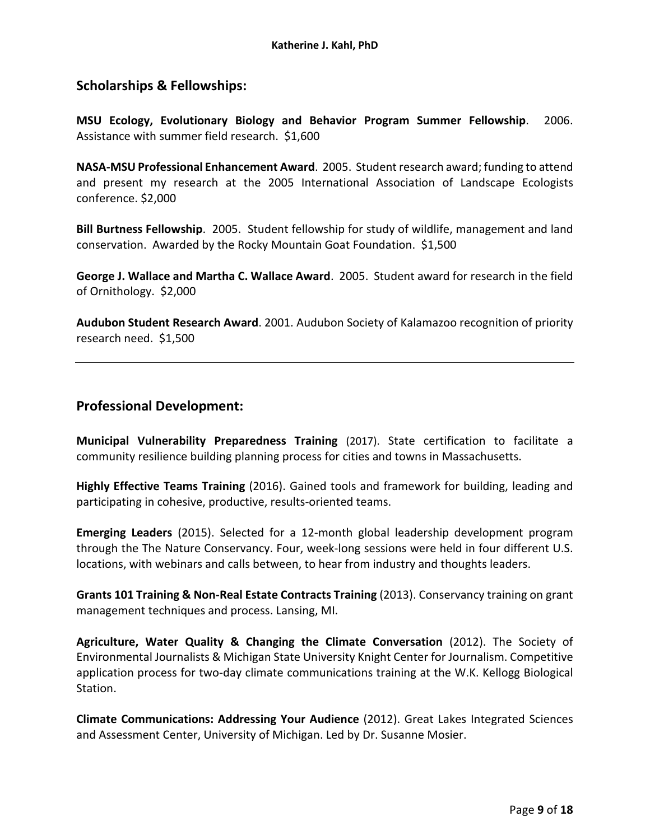# **Scholarships & Fellowships:**

**MSU Ecology, Evolutionary Biology and Behavior Program Summer Fellowship**. 2006. Assistance with summer field research. \$1,600

**NASA-MSU Professional Enhancement Award**. 2005. Student research award; funding to attend and present my research at the 2005 International Association of Landscape Ecologists conference. \$2,000

**Bill Burtness Fellowship**. 2005. Student fellowship for study of wildlife, management and land conservation. Awarded by the Rocky Mountain Goat Foundation. \$1,500

**George J. Wallace and Martha C. Wallace Award**. 2005. Student award for research in the field of Ornithology. \$2,000

**Audubon Student Research Award**. 2001. Audubon Society of Kalamazoo recognition of priority research need. \$1,500

## **Professional Development:**

**Municipal Vulnerability Preparedness Training** (2017). State certification to facilitate a community resilience building planning process for cities and towns in Massachusetts.

**Highly Effective Teams Training** (2016). Gained tools and framework for building, leading and participating in cohesive, productive, results-oriented teams.

**Emerging Leaders** (2015). Selected for a 12-month global leadership development program through the The Nature Conservancy. Four, week-long sessions were held in four different U.S. locations, with webinars and calls between, to hear from industry and thoughts leaders.

**Grants 101 Training & Non-Real Estate Contracts Training** (2013). Conservancy training on grant management techniques and process. Lansing, MI.

**Agriculture, Water Quality & Changing the Climate Conversation** (2012). The Society of Environmental Journalists & Michigan State University Knight Center for Journalism. Competitive application process for two-day climate communications training at the W.K. Kellogg Biological Station.

**Climate Communications: Addressing Your Audience** (2012). Great Lakes Integrated Sciences and Assessment Center, University of Michigan. Led by Dr. Susanne Mosier.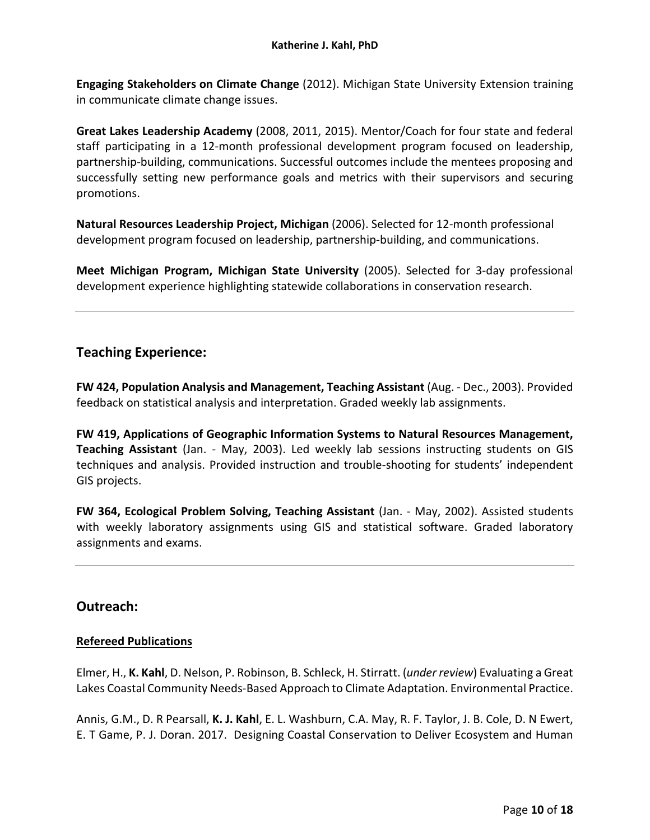**Engaging Stakeholders on Climate Change** (2012). Michigan State University Extension training in communicate climate change issues.

**Great Lakes Leadership Academy** (2008, 2011, 2015). Mentor/Coach for four state and federal staff participating in a 12-month professional development program focused on leadership, partnership-building, communications. Successful outcomes include the mentees proposing and successfully setting new performance goals and metrics with their supervisors and securing promotions.

**Natural Resources Leadership Project, Michigan** (2006). Selected for 12-month professional development program focused on leadership, partnership-building, and communications.

**Meet Michigan Program, Michigan State University** (2005). Selected for 3-day professional development experience highlighting statewide collaborations in conservation research.

# **Teaching Experience:**

**FW 424, Population Analysis and Management, Teaching Assistant** (Aug. - Dec., 2003). Provided feedback on statistical analysis and interpretation. Graded weekly lab assignments.

**FW 419, Applications of Geographic Information Systems to Natural Resources Management, Teaching Assistant** (Jan. - May, 2003). Led weekly lab sessions instructing students on GIS techniques and analysis. Provided instruction and trouble-shooting for students' independent GIS projects.

**FW 364, Ecological Problem Solving, Teaching Assistant** (Jan. - May, 2002). Assisted students with weekly laboratory assignments using GIS and statistical software. Graded laboratory assignments and exams.

# **Outreach:**

## **Refereed Publications**

Elmer, H., **K. Kahl**, D. Nelson, P. Robinson, B. Schleck, H. Stirratt. (*under review*) Evaluating a Great Lakes Coastal Community Needs-Based Approach to Climate Adaptation. Environmental Practice.

Annis, G.M., D. R Pearsall, **K. J. Kahl**, E. L. Washburn, C.A. May, R. F. Taylor, J. B. Cole, D. N Ewert, E. T Game, P. J. Doran. 2017. Designing Coastal Conservation to Deliver Ecosystem and Human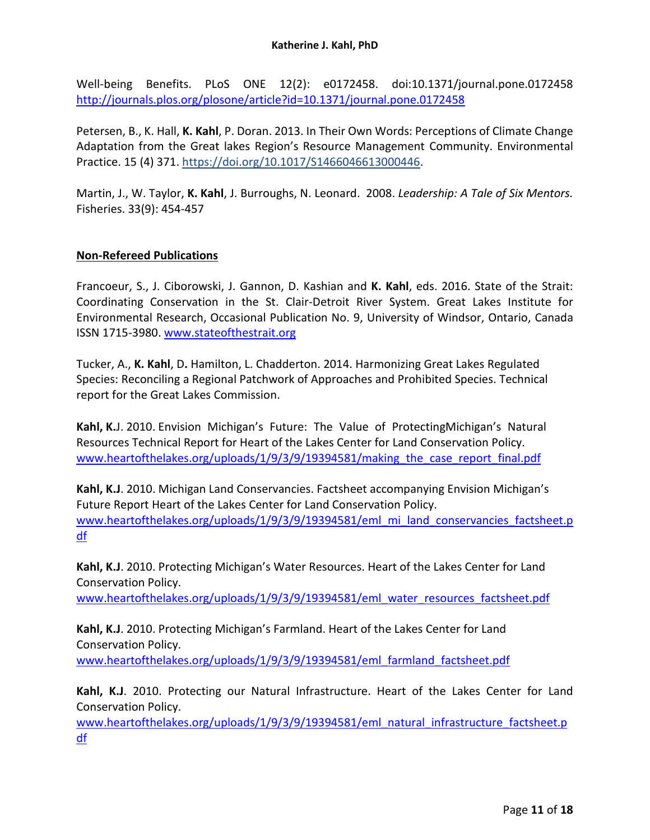Well-being Benefits. PLoS ONE 12(2): e0172458. doi:10.1371/journal.pone.0172458 <http://journals.plos.org/plosone/article?id=10.1371/journal.pone.0172458>

Petersen, B., K. Hall, **K. Kahl**, P. Doran. 2013. In Their Own Words: Perceptions of Climate Change Adaptation from the Great lakes Region's Resource Management Community. Environmental Practice. 15 (4) 371[. https://doi.org/10.1017/S1466046613000446.](https://doi.org/10.1017/S1466046613000446)

Martin, J., W. Taylor, **K. Kahl**, J. Burroughs, N. Leonard. 2008. *Leadership: A Tale of Six Mentors.* Fisheries. 33(9): 454-457

### **Non-Refereed Publications**

Francoeur, S., J. Ciborowski, J. Gannon, D. Kashian and **K. Kahl**, eds. 2016. State of the Strait: Coordinating Conservation in the St. Clair-Detroit River System. Great Lakes Institute for Environmental Research, Occasional Publication No. 9, University of Windsor, Ontario, Canada ISSN 1715-3980. [www.stateofthestrait.org](http://www.stateofthestrait.org/)

Tucker, A., **K. Kahl**, D**.** Hamilton, L. Chadderton. 2014. Harmonizing Great Lakes Regulated Species: Reconciling a Regional Patchwork of Approaches and Prohibited Species. Technical report for the Great Lakes Commission.

**Kahl, K.**J. 2010. Envision Michigan's Future: The Value of ProtectingMichigan's Natural Resources Technical Report for Heart of the Lakes Center for Land Conservation Policy. [www.heartofthelakes.org/uploads/1/9/3/9/19394581/making\\_the\\_case\\_report\\_final.pdf](http://www.heartofthelakes.org/uploads/1/9/3/9/19394581/making_the_case_report_final.pdf)

**Kahl, K.J**. 2010. Michigan Land Conservancies. Factsheet accompanying Envision Michigan's Future Report Heart of the Lakes Center for Land Conservation Policy. [www.heartofthelakes.org/uploads/1/9/3/9/19394581/eml\\_mi\\_land\\_conservancies\\_factsheet.p](http://www.heartofthelakes.org/uploads/1/9/3/9/19394581/eml_mi_land_conservancies_factsheet.pdf) [df](http://www.heartofthelakes.org/uploads/1/9/3/9/19394581/eml_mi_land_conservancies_factsheet.pdf)

**Kahl, K.J**. 2010. Protecting Michigan's Water Resources. Heart of the Lakes Center for Land Conservation Policy.

[www.heartofthelakes.org/uploads/1/9/3/9/19394581/eml\\_water\\_resources\\_factsheet.pdf](http://www.heartofthelakes.org/uploads/1/9/3/9/19394581/eml_water_resources_factsheet.pdf)

**Kahl, K.J**. 2010. Protecting Michigan's Farmland. Heart of the Lakes Center for Land Conservation Policy. [www.heartofthelakes.org/uploads/1/9/3/9/19394581/eml\\_farmland\\_factsheet.pdf](http://www.heartofthelakes.org/uploads/1/9/3/9/19394581/eml_farmland_factsheet.pdf)

**Kahl, K.J**. 2010. Protecting our Natural Infrastructure. Heart of the Lakes Center for Land Conservation Policy.

[www.heartofthelakes.org/uploads/1/9/3/9/19394581/eml\\_natural\\_infrastructure\\_factsheet.p](http://www.heartofthelakes.org/uploads/1/9/3/9/19394581/eml_natural_infrastructure_factsheet.pdf) [df](http://www.heartofthelakes.org/uploads/1/9/3/9/19394581/eml_natural_infrastructure_factsheet.pdf)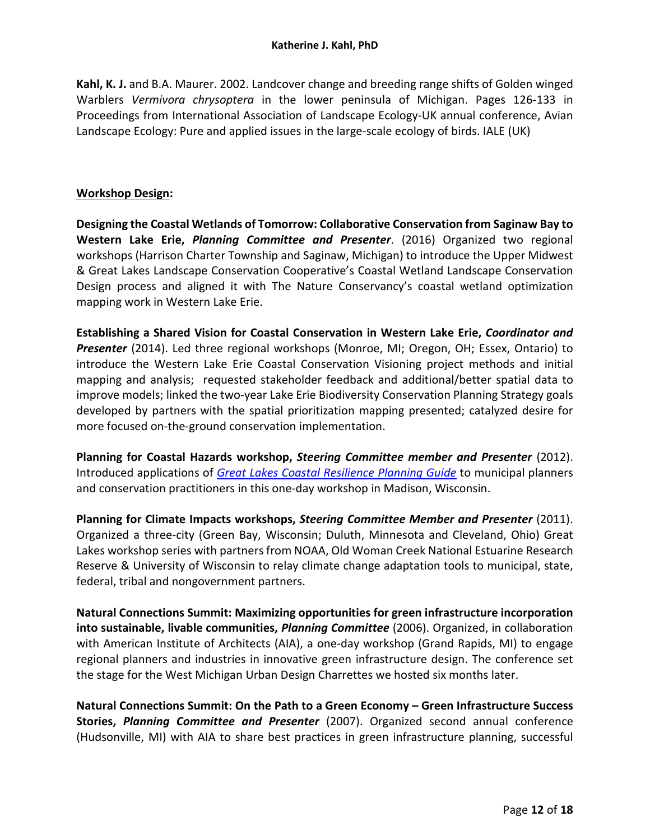**Kahl, K. J.** and B.A. Maurer. 2002. Landcover change and breeding range shifts of Golden winged Warblers *Vermivora chrysoptera* in the lower peninsula of Michigan. Pages 126-133 in Proceedings from International Association of Landscape Ecology-UK annual conference, Avian Landscape Ecology: Pure and applied issues in the large-scale ecology of birds. IALE (UK)

#### **Workshop Design:**

**Designing the Coastal Wetlands of Tomorrow: Collaborative Conservation from Saginaw Bay to Western Lake Erie,** *Planning Committee and Presenter*. (2016) Organized two regional workshops (Harrison Charter Township and Saginaw, Michigan) to introduce the Upper Midwest & Great Lakes Landscape Conservation Cooperative's Coastal Wetland Landscape Conservation Design process and aligned it with The Nature Conservancy's coastal wetland optimization mapping work in Western Lake Erie.

**Establishing a Shared Vision for Coastal Conservation in Western Lake Erie,** *Coordinator and Presenter* (2014). Led three regional workshops (Monroe, MI; Oregon, OH; Essex, Ontario) to introduce the Western Lake Erie Coastal Conservation Visioning project methods and initial mapping and analysis; requested stakeholder feedback and additional/better spatial data to improve models; linked the two-year Lake Erie Biodiversity Conservation Planning Strategy goals developed by partners with the spatial prioritization mapping presented; catalyzed desire for more focused on-the-ground conservation implementation.

**Planning for Coastal Hazards workshop,** *Steering Committee member and Presenter* (2012). Introduced applications of *[Great Lakes Coastal Resilience Planning Guide](http://greatlakesresilience.org/)* to municipal planners and conservation practitioners in this one-day workshop in Madison, Wisconsin.

**Planning for Climate Impacts workshops,** *Steering Committee Member and Presenter* (2011). Organized a three-city (Green Bay, Wisconsin; Duluth, Minnesota and Cleveland, Ohio) Great Lakes workshop series with partners from NOAA, Old Woman Creek National Estuarine Research Reserve & University of Wisconsin to relay climate change adaptation tools to municipal, state, federal, tribal and nongovernment partners.

**Natural Connections Summit: Maximizing opportunities for green infrastructure incorporation into sustainable, livable communities,** *Planning Committee* (2006). Organized, in collaboration with American Institute of Architects (AIA), a one-day workshop (Grand Rapids, MI) to engage regional planners and industries in innovative green infrastructure design. The conference set the stage for the West Michigan Urban Design Charrettes we hosted six months later.

**Natural Connections Summit: On the Path to a Green Economy – Green Infrastructure Success Stories,** *Planning Committee and Presenter* (2007). Organized second annual conference (Hudsonville, MI) with AIA to share best practices in green infrastructure planning, successful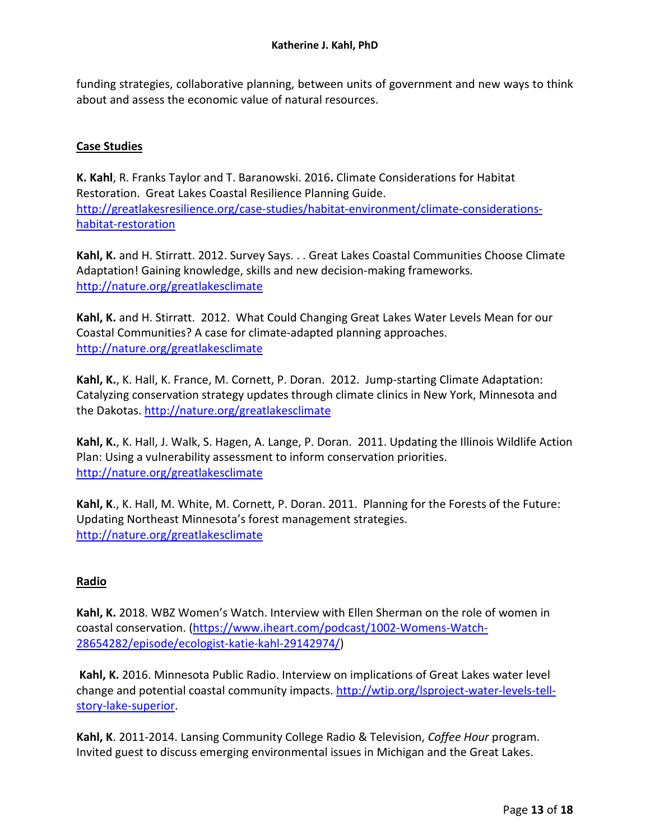funding strategies, collaborative planning, between units of government and new ways to think about and assess the economic value of natural resources.

#### **Case Studies**

**K. Kahl**, R. Franks Taylor and T. Baranowski. 2016**.** Climate Considerations for Habitat Restoration. Great Lakes Coastal Resilience Planning Guide. [http://greatlakesresilience.org/case-studies/habitat-environment/climate-considerations](http://greatlakesresilience.org/case-studies/habitat-environment/climate-considerations-habitat-restoration)[habitat-restoration](http://greatlakesresilience.org/case-studies/habitat-environment/climate-considerations-habitat-restoration)

**Kahl, K.** and H. Stirratt. 2012. Survey Says. . . Great Lakes Coastal Communities Choose Climate Adaptation! Gaining knowledge, skills and new decision-making frameworks*.* <http://nature.org/greatlakesclimate>

**Kahl, K.** and H. Stirratt. 2012. What Could Changing Great Lakes Water Levels Mean for our Coastal Communities? A case for climate-adapted planning approaches. <http://nature.org/greatlakesclimate>

**Kahl, K.**, K. Hall, K. France, M. Cornett, P. Doran. 2012. Jump-starting Climate Adaptation: Catalyzing conservation strategy updates through climate clinics in New York, Minnesota and the Dakotas.<http://nature.org/greatlakesclimate>

**Kahl, K.**, K. Hall, J. Walk, S. Hagen, A. Lange, P. Doran. 2011. Updating the Illinois Wildlife Action Plan: Using a vulnerability assessment to inform conservation priorities. <http://nature.org/greatlakesclimate>

**Kahl, K**., K. Hall, M. White, M. Cornett, P. Doran. 2011. Planning for the Forests of the Future: Updating Northeast Minnesota's forest management strategies. <http://nature.org/greatlakesclimate>

#### **Radio**

**Kahl, K.** 2018. WBZ Women's Watch. Interview with Ellen Sherman on the role of women in coastal conservation. [\(https://www.iheart.com/podcast/1002-Womens-Watch-](https://www.iheart.com/podcast/1002-Womens-Watch-28654282/episode/ecologist-katie-kahl-29142974/)[28654282/episode/ecologist-katie-kahl-29142974/\)](https://www.iheart.com/podcast/1002-Womens-Watch-28654282/episode/ecologist-katie-kahl-29142974/)

**Kahl, K.** 2016. Minnesota Public Radio. Interview on implications of Great Lakes water level change and potential coastal community impacts. [http://wtip.org/lsproject-water-levels-tell](http://wtip.org/lsproject-water-levels-tell-story-lake-superior)[story-lake-superior.](http://wtip.org/lsproject-water-levels-tell-story-lake-superior)

**Kahl, K**. 2011-2014. Lansing Community College Radio & Television, *Coffee Hour* program. Invited guest to discuss emerging environmental issues in Michigan and the Great Lakes.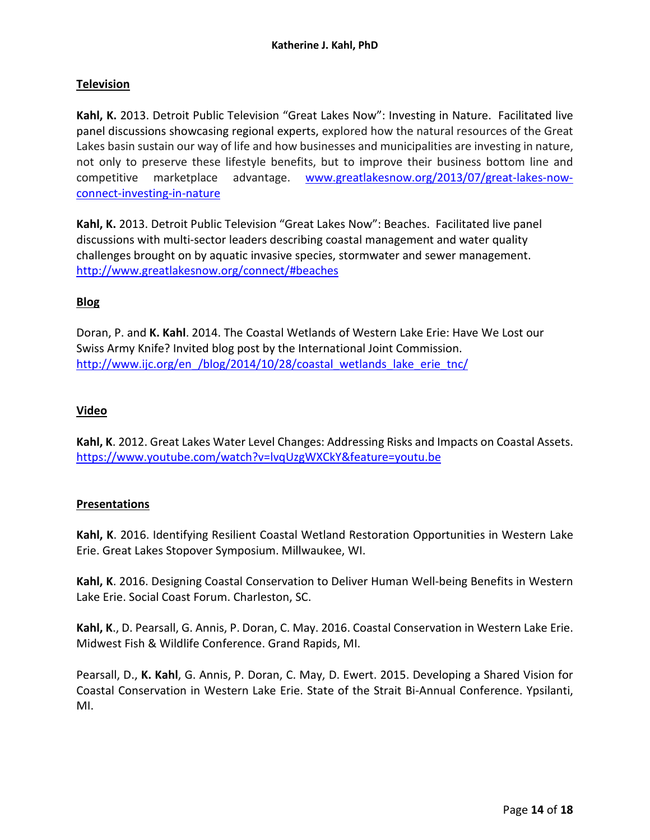### **Television**

**Kahl, K.** 2013. Detroit Public Television "Great Lakes Now": Investing in Nature. Facilitated live panel discussions showcasing regional experts, explored how the natural resources of the Great Lakes basin sustain our way of life and how businesses and municipalities are investing in nature, not only to preserve these lifestyle benefits, but to improve their business bottom line and competitive marketplace advantage. [www.greatlakesnow.org/2013/07/great-lakes-now](http://www.greatlakesnow.org/2013/07/great-lakes-now-connect-investing-in-nature)[connect-investing-in-nature](http://www.greatlakesnow.org/2013/07/great-lakes-now-connect-investing-in-nature)

**Kahl, K.** 2013. Detroit Public Television "Great Lakes Now": Beaches. Facilitated live panel discussions with multi-sector leaders describing coastal management and water quality challenges brought on by aquatic invasive species, stormwater and sewer management. <http://www.greatlakesnow.org/connect/#beaches>

### **Blog**

Doran, P. and **K. Kahl**. 2014. The Coastal Wetlands of Western Lake Erie: Have We Lost our Swiss Army Knife? Invited blog post by the International Joint Commission. http://www.ijc.org/en /blog/2014/10/28/coastal wetlands lake erie tnc/

#### **Video**

**Kahl, K**. 2012. Great Lakes Water Level Changes: Addressing Risks and Impacts on Coastal Assets. <https://www.youtube.com/watch?v=lvqUzgWXCkY&feature=youtu.be>

#### **Presentations**

**Kahl, K**. 2016. Identifying Resilient Coastal Wetland Restoration Opportunities in Western Lake Erie. Great Lakes Stopover Symposium. Millwaukee, WI.

**Kahl, K**. 2016. Designing Coastal Conservation to Deliver Human Well-being Benefits in Western Lake Erie. Social Coast Forum. Charleston, SC.

**Kahl, K**., D. Pearsall, G. Annis, P. Doran, C. May. 2016. Coastal Conservation in Western Lake Erie. Midwest Fish & Wildlife Conference. Grand Rapids, MI.

Pearsall, D., **K. Kahl**, G. Annis, P. Doran, C. May, D. Ewert. 2015. Developing a Shared Vision for Coastal Conservation in Western Lake Erie. State of the Strait Bi-Annual Conference. Ypsilanti, MI.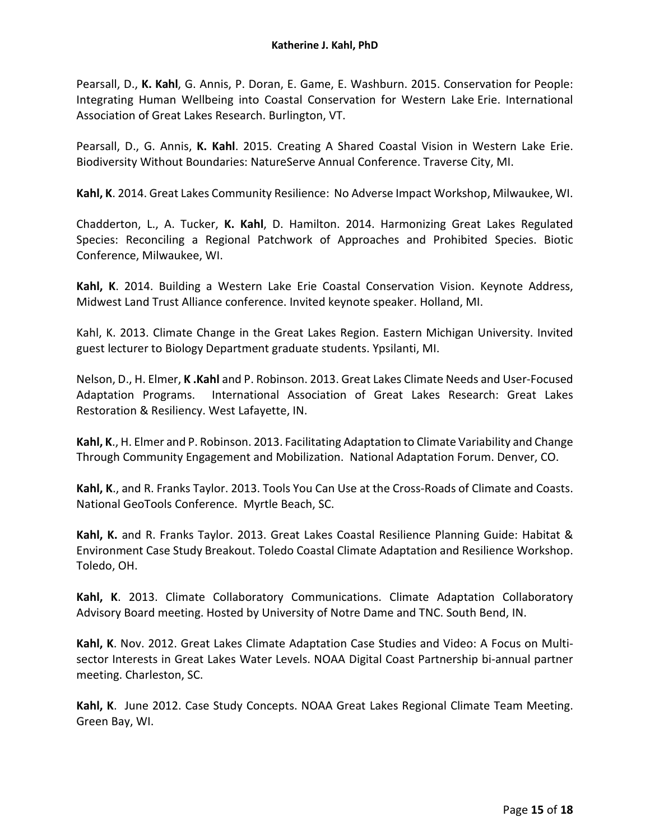Pearsall, D., **K. Kahl**, G. Annis, P. Doran, E. Game, E. Washburn. 2015. Conservation for People: Integrating Human Wellbeing into Coastal Conservation for Western Lake Erie. International Association of Great Lakes Research. Burlington, VT.

Pearsall, D., G. Annis, **K. Kahl**. 2015. Creating A Shared Coastal Vision in Western Lake Erie. Biodiversity Without Boundaries: NatureServe Annual Conference. Traverse City, MI.

**Kahl, K**. 2014. Great Lakes Community Resilience: No Adverse Impact Workshop, Milwaukee, WI.

Chadderton, L., A. Tucker, **K. Kahl**, D. Hamilton. 2014. Harmonizing Great Lakes Regulated Species: Reconciling a Regional Patchwork of Approaches and Prohibited Species. Biotic Conference, Milwaukee, WI.

**Kahl, K**. 2014. Building a Western Lake Erie Coastal Conservation Vision. Keynote Address, Midwest Land Trust Alliance conference. Invited keynote speaker. Holland, MI.

Kahl, K. 2013. Climate Change in the Great Lakes Region. Eastern Michigan University. Invited guest lecturer to Biology Department graduate students. Ypsilanti, MI.

Nelson, D., H. Elmer, **K .Kahl** and P. Robinson. 2013. Great Lakes Climate Needs and User-Focused Adaptation Programs. International Association of Great Lakes Research: Great Lakes Restoration & Resiliency. West Lafayette, IN.

**Kahl, K**., H. Elmer and P. Robinson. 2013. Facilitating Adaptation to Climate Variability and Change Through Community Engagement and Mobilization. National Adaptation Forum. Denver, CO.

**Kahl, K**., and R. Franks Taylor. 2013. Tools You Can Use at the Cross-Roads of Climate and Coasts. National GeoTools Conference. Myrtle Beach, SC.

**Kahl, K.** and R. Franks Taylor. 2013. Great Lakes Coastal Resilience Planning Guide: Habitat & Environment Case Study Breakout. Toledo Coastal Climate Adaptation and Resilience Workshop. Toledo, OH.

**Kahl, K**. 2013. Climate Collaboratory Communications. Climate Adaptation Collaboratory Advisory Board meeting. Hosted by University of Notre Dame and TNC. South Bend, IN.

**Kahl, K**. Nov. 2012. Great Lakes Climate Adaptation Case Studies and Video: A Focus on Multisector Interests in Great Lakes Water Levels. NOAA Digital Coast Partnership bi-annual partner meeting. Charleston, SC.

**Kahl, K**. June 2012. Case Study Concepts. NOAA Great Lakes Regional Climate Team Meeting. Green Bay, WI.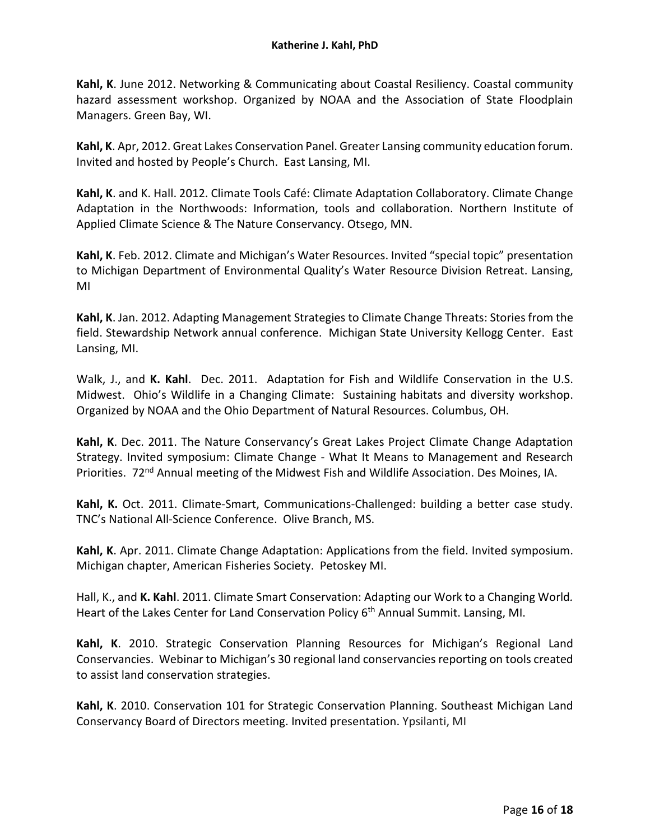**Kahl, K**. June 2012. Networking & Communicating about Coastal Resiliency. Coastal community hazard assessment workshop. Organized by NOAA and the Association of State Floodplain Managers. Green Bay, WI.

**Kahl, K**. Apr, 2012. Great Lakes Conservation Panel. Greater Lansing community education forum. Invited and hosted by People's Church. East Lansing, MI.

**Kahl, K**. and K. Hall. 2012. Climate Tools Café: Climate Adaptation Collaboratory. Climate Change Adaptation in the Northwoods: Information, tools and collaboration. Northern Institute of Applied Climate Science & The Nature Conservancy. Otsego, MN.

**Kahl, K**. Feb. 2012. Climate and Michigan's Water Resources. Invited "special topic" presentation to Michigan Department of Environmental Quality's Water Resource Division Retreat. Lansing, MI

**Kahl, K**. Jan. 2012. Adapting Management Strategies to Climate Change Threats: Stories from the field. Stewardship Network annual conference. Michigan State University Kellogg Center. East Lansing, MI.

Walk, J., and **K. Kahl**. Dec. 2011. Adaptation for Fish and Wildlife Conservation in the U.S. Midwest. Ohio's Wildlife in a Changing Climate: Sustaining habitats and diversity workshop. Organized by NOAA and the Ohio Department of Natural Resources. Columbus, OH.

**Kahl, K**. Dec. 2011. The Nature Conservancy's Great Lakes Project Climate Change Adaptation Strategy. Invited symposium: Climate Change - What It Means to Management and Research Priorities. 72<sup>nd</sup> Annual meeting of the Midwest Fish and Wildlife Association. Des Moines, IA.

**Kahl, K.** Oct. 2011. Climate-Smart, Communications-Challenged: building a better case study. TNC's National All-Science Conference. Olive Branch, MS.

**Kahl, K**. Apr. 2011. Climate Change Adaptation: Applications from the field. Invited symposium. Michigan chapter, American Fisheries Society. Petoskey MI.

Hall, K., and **K. Kahl**. 2011. Climate Smart Conservation: Adapting our Work to a Changing World*.*  Heart of the Lakes Center for Land Conservation Policy 6<sup>th</sup> Annual Summit. Lansing, MI.

**Kahl, K**. 2010. Strategic Conservation Planning Resources for Michigan's Regional Land Conservancies. Webinar to Michigan's 30 regional land conservancies reporting on tools created to assist land conservation strategies.

**Kahl, K**. 2010. Conservation 101 for Strategic Conservation Planning. Southeast Michigan Land Conservancy Board of Directors meeting. Invited presentation. Ypsilanti, MI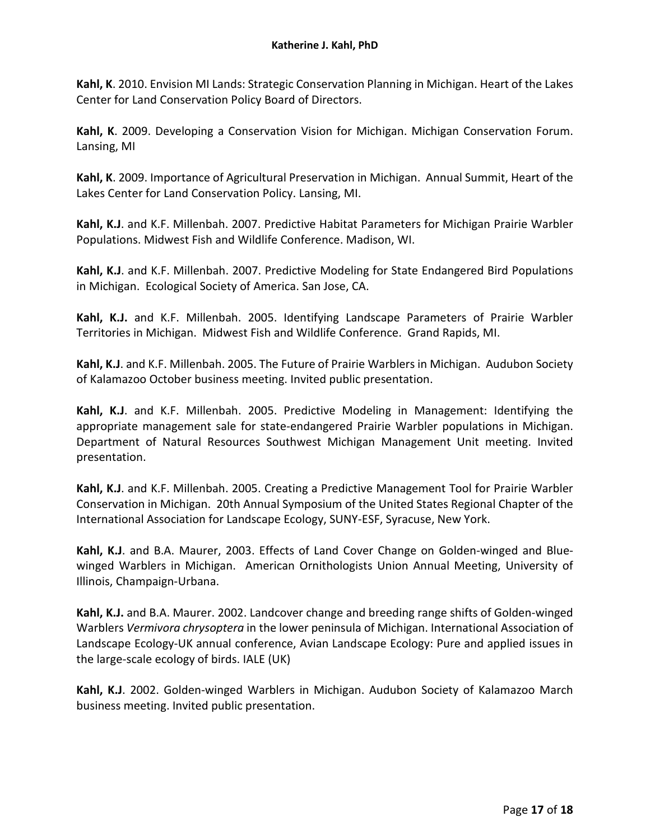**Kahl, K**. 2010. Envision MI Lands: Strategic Conservation Planning in Michigan. Heart of the Lakes Center for Land Conservation Policy Board of Directors.

**Kahl, K**. 2009. Developing a Conservation Vision for Michigan. Michigan Conservation Forum. Lansing, MI

**Kahl, K**. 2009. Importance of Agricultural Preservation in Michigan. Annual Summit, Heart of the Lakes Center for Land Conservation Policy. Lansing, MI.

**Kahl, K.J**. and K.F. Millenbah. 2007. Predictive Habitat Parameters for Michigan Prairie Warbler Populations. Midwest Fish and Wildlife Conference. Madison, WI.

**Kahl, K.J**. and K.F. Millenbah. 2007. [Predictive Modeling for State Endangered Bird Populations](javascript:var%20myWindow=window.open()  [in Michigan.](javascript:var%20myWindow=window.open() Ecological Society of America. San Jose, CA.

**Kahl, K.J.** and K.F. Millenbah. 2005. Identifying Landscape Parameters of Prairie Warbler Territories in Michigan. Midwest Fish and Wildlife Conference. Grand Rapids, MI.

**Kahl, K.J**. and K.F. Millenbah. 2005. The Future of Prairie Warblers in Michigan. Audubon Society of Kalamazoo October business meeting. Invited public presentation.

**Kahl, K.J**. and K.F. Millenbah. 2005. Predictive Modeling in Management: Identifying the appropriate management sale for state-endangered Prairie Warbler populations in Michigan. Department of Natural Resources Southwest Michigan Management Unit meeting. Invited presentation.

**Kahl, K.J**. and K.F. Millenbah. 2005. Creating a Predictive Management Tool for Prairie Warbler Conservation in Michigan. 20th Annual Symposium of the United States Regional Chapter of the International Association for Landscape Ecology, SUNY-ESF, Syracuse, New York.

**Kahl, K.J**. and B.A. Maurer, 2003. Effects of Land Cover Change on Golden-winged and Bluewinged Warblers in Michigan. American Ornithologists Union Annual Meeting, University of Illinois, Champaign-Urbana.

**Kahl, K.J.** and B.A. Maurer. 2002. Landcover change and breeding range shifts of Golden-winged Warblers *Vermivora chrysoptera* in the lower peninsula of Michigan. International Association of Landscape Ecology-UK annual conference, Avian Landscape Ecology: Pure and applied issues in the large-scale ecology of birds. IALE (UK)

**Kahl, K.J**. 2002. Golden-winged Warblers in Michigan. Audubon Society of Kalamazoo March business meeting. Invited public presentation.